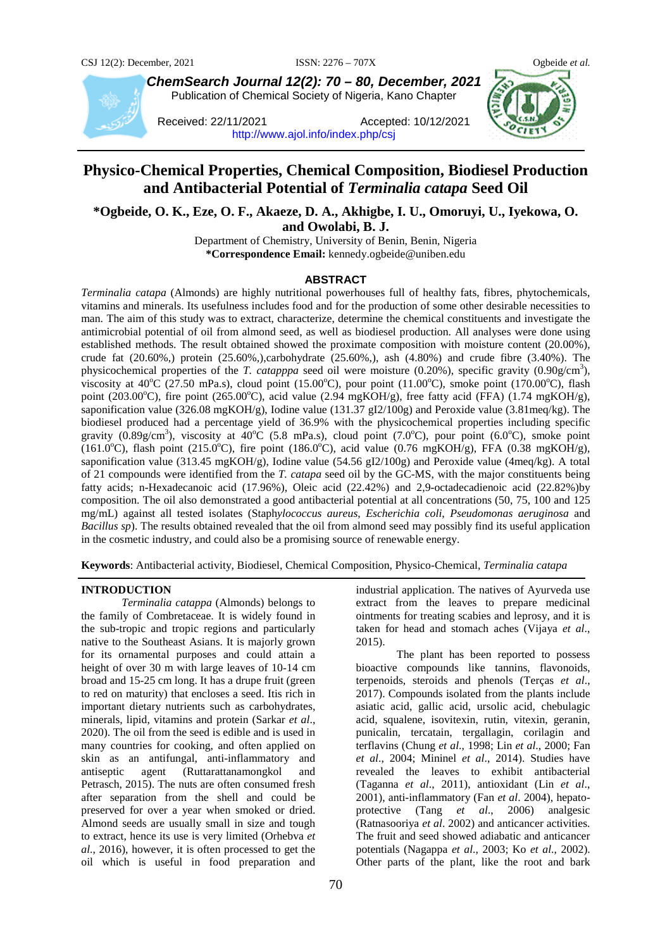

*ChemSearch Journal 12(2): 70 – 80, December, 2021* Publication of Chemical Society of Nigeria, Kano Chapter

Received: 22/11/2021 Accepted: 10/12/2021 <http://www.ajol.info/index.php/csj>

# **Physico-Chemical Properties, Chemical Composition, Biodiesel Production and Antibacterial Potential of** *Terminalia catapa* **Seed Oil**

**\*Ogbeide, O. K., Eze, O. F., Akaeze, D. A., Akhigbe, I. U., Omoruyi, U., Iyekowa, O. and Owolabi, B. J.**

Department of Chemistry, University of Benin, Benin, Nigeria **\*Correspondence Email:** kennedy.ogbeide@uniben.edu

### **ABSTRACT**

*Terminalia catapa* (Almonds) are highly nutritional powerhouses full of healthy fats, fibres, phytochemicals, vitamins and minerals. Its usefulness includes food and for the production of some other desirable necessities to man. The aim of this study was to extract, characterize, determine the chemical constituents and investigate the antimicrobial potential of oil from almond seed, as well as biodiesel production. All analyses were done using established methods. The result obtained showed the proximate composition with moisture content (20.00%), crude fat  $(20.60\%)$  protein  $(25.60\%)$ ,carbohydrate  $(25.60\%)$ , ash  $(4.80\%)$  and crude fibre  $(3.40\%)$ . The physicochemical properties of the *T. catapppa* seed oil were moisture  $(0.20\%)$ , specific gravity  $(0.90g/cm<sup>3</sup>)$ , viscosity at  $40^{\circ}$ C (27.50 mPa.s), cloud point (15.00°C), pour point (11.00°C), smoke point (170.00°C), flash point (203.00°C), fire point (265.00°C), acid value (2.94 mgKOH/g), free fatty acid (FFA) (1.74 mgKOH/g), saponification value (326.08 mgKOH/g), Iodine value (131.37 gI2/100g) and Peroxide value (3.81meq/kg). The biodiesel produced had a percentage yield of 36.9% with the physicochemical properties including specific gravity  $(0.89g/cm^3)$ , viscosity at  $40^{\circ}C$  (5.8 mPa.s), cloud point (7.0°C), pour point (6.0°C), smoke point (161.0°C), flash point (215.0°C), fire point (186.0°C), acid value (0.76 mgKOH/g), FFA (0.38 mgKOH/g), saponification value (313.45 mgKOH/g), Iodine value (54.56 gI2/100g) and Peroxide value (4meq/kg). A total of 21 compounds were identified from the *T. catapa* seed oil by the GC-MS, with the major constituents being fatty acids; n-Hexadecanoic acid (17.96%), Oleic acid (22.42%) and 2,9-octadecadienoic acid (22.82%)by composition. The oil also demonstrated a good antibacterial potential at all concentrations (50, 75, 100 and 125 mg/mL) against all tested isolates (Staph*ylococcus aureus*, *Escherichia coli*, *Pseudomonas aeruginosa* and *Bacillus sp*). The results obtained revealed that the oil from almond seed may possibly find its useful application in the cosmetic industry, and could also be a promising source of renewable energy.

**Keywords**: Antibacterial activity, Biodiesel, Chemical Composition, Physico-Chemical, *Terminalia catapa*

#### **INTRODUCTION**

*Terminalia catappa* (Almonds) belongs to the family of Combretaceae. It is widely found in the sub-tropic and tropic regions and particularly native to the Southeast Asians. It is majorly grown for its ornamental purposes and could attain a height of over 30 m with large leaves of 10-14 cm broad and 15‑25 cm long. It has a drupe fruit (green to red on maturity) that encloses a seed. Itis rich in important dietary nutrients such as carbohydrates, minerals, lipid, vitamins and protein (Sarkar *et al*., 2020). The oil from the seed is edible and is used in many countries for cooking, and often applied on skin as an antifungal, anti-inflammatory and antiseptic agent (Ruttarattanamongkol and Petrasch*,* 2015). The nuts are often consumed fresh after separation from the shell and could be preserved for over a year when smoked or dried. Almond seeds are usually small in size and tough to extract, hence its use is very limited (Orhebva *et al*., 2016), however, it is often processed to get the oil which is useful in food preparation and

industrial application. The natives of Ayurveda use extract from the leaves to prepare medicinal ointments for treating scabies and leprosy, and it is taken for head and stomach aches (Vijaya *et al*., 2015).

The plant has been reported to possess bioactive compounds like tannins, flavonoids, terpenoids, steroids and phenols (Terças *et al*., 2017). Compounds isolated from the plants include asiatic acid, gallic acid, ursolic acid, chebulagic acid, squalene, isovitexin, rutin, vitexin, geranin, punicalin, tercatain, tergallagin, corilagin and terflavins (Chung *et al*., 1998; Lin *et al*., 2000; Fan *et al*., 2004; Mininel *et al*., 2014). Studies have revealed the leaves to exhibit antibacterial (Taganna *et al*., 2011), antioxidant (Lin *et al*., 2001), anti-inflammatory (Fan *et al*. 2004), hepatoprotective (Tang *et al*., 2006) analgesic (Ratnasooriya *et al*. 2002) and anticancer activities. The fruit and seed showed adiabatic and anticancer potentials (Nagappa *et al*., 2003; Ko *et al*., 2002). Other parts of the plant, like the root and bark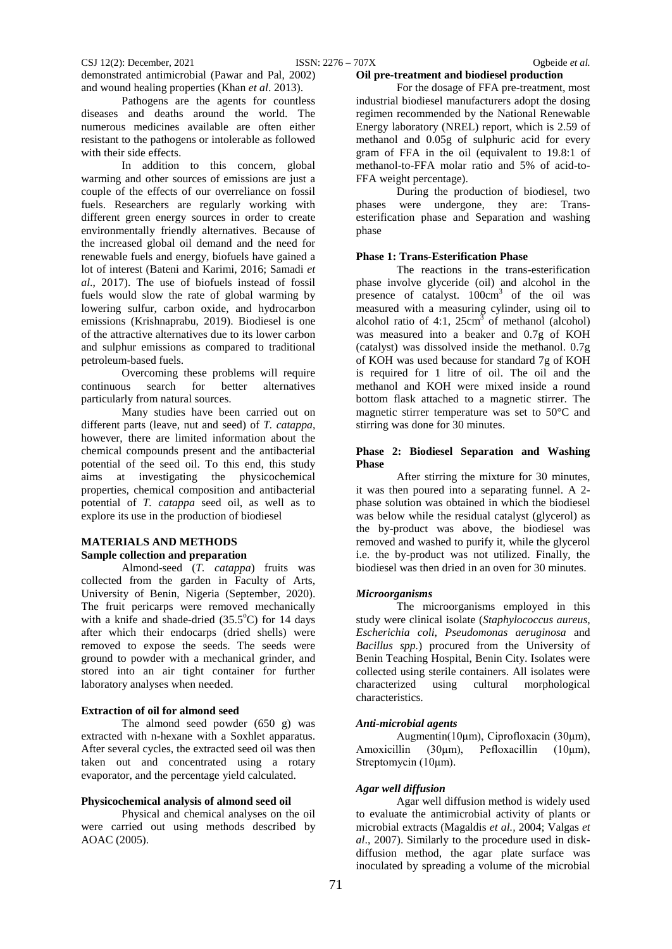demonstrated antimicrobial (Pawar and Pal, 2002) and wound healing properties (Khan *et al*. 2013).

Pathogens are the agents for countless diseases and deaths around the world. The numerous medicines available are often either resistant to the pathogens or intolerable as followed with their side effects.

In addition to this concern, global warming and other sources of emissions are just a couple of the effects of our overreliance on fossil fuels. Researchers are regularly working with different green energy sources in order to create environmentally friendly alternatives. Because of the increased global oil demand and the need for renewable fuels and energy, biofuels have gained a lot of interest (Bateni and Karimi, 2016; Samadi *et al*., 2017). The use of biofuels instead of fossil fuels would slow the rate of global warming by lowering sulfur, carbon oxide, and hydrocarbon emissions (Krishnaprabu, 2019). Biodiesel is one of the attractive alternatives due to its lower carbon and sulphur emissions as compared to traditional petroleum-based fuels.

Overcoming these problems will require continuous search for better alternatives particularly from natural sources.

Many studies have been carried out on different parts (leave, nut and seed) of *T. catappa*, however, there are limited information about the chemical compounds present and the antibacterial potential of the seed oil. To this end, this study aims at investigating the physicochemical properties, chemical composition and antibacterial potential of *T. catappa* seed oil, as well as to explore its use in the production of biodiesel

#### **MATERIALS AND METHODS Sample collection and preparation**

Almond-seed (*T. catappa*) fruits was collected from the garden in Faculty of Arts, University of Benin, Nigeria (September, 2020). The fruit pericarps were removed mechanically with a knife and shade-dried  $(35.5^{\circ}C)$  for 14 days after which their endocarps (dried shells) were removed to expose the seeds. The seeds were ground to powder with a mechanical grinder, and stored into an air tight container for further laboratory analyses when needed.

#### **Extraction of oil for almond seed**

The almond seed powder (650 g) was extracted with n-hexane with a Soxhlet apparatus. After several cycles, the extracted seed oil was then taken out and concentrated using a rotary evaporator, and the percentage yield calculated.

## **Physicochemical analysis of almond seed oil**

Physical and chemical analyses on the oil were carried out using methods described by AOAC (2005).

#### **Oil pre-treatment and biodiesel production**

For the dosage of FFA pre-treatment, most industrial biodiesel manufacturers adopt the dosing regimen recommended by the National Renewable Energy laboratory (NREL) report, which is 2.59 of methanol and 0.05g of sulphuric acid for every gram of FFA in the oil (equivalent to 19.8:1 of methanol-to-FFA molar ratio and 5% of acid-to-FFA weight percentage).

During the production of biodiesel, two phases were undergone, they are: Transesterification phase and Separation and washing phase

#### **Phase 1: Trans-Esterification Phase**

The reactions in the trans-esterification phase involve glyceride (oil) and alcohol in the presence of catalyst.  $100 \text{cm}^3$  of the oil was measured with a measuring cylinder, using oil to alcohol ratio of 4:1,  $25 \text{cm}^3$  of methanol (alcohol) was measured into a beaker and 0.7g of KOH (catalyst) was dissolved inside the methanol. 0.7g of KOH was used because for standard 7g of KOH is required for 1 litre of oil. The oil and the methanol and KOH were mixed inside a round bottom flask attached to a magnetic stirrer. The magnetic stirrer temperature was set to 50°C and stirring was done for 30 minutes.

## **Phase 2: Biodiesel Separation and Washing Phase**

After stirring the mixture for 30 minutes, it was then poured into a separating funnel. A 2 phase solution was obtained in which the biodiesel was below while the residual catalyst (glycerol) as the by-product was above, the biodiesel was removed and washed to purify it, while the glycerol i.e. the by-product was not utilized. Finally, the biodiesel was then dried in an oven for 30 minutes.

#### *Microorganisms*

The microorganisms employed in this study were clinical isolate (*Staphylococcus aureus*, *Escherichia coli*, *Pseudomonas aeruginosa* and *Bacillus spp.*) procured from the University of Benin Teaching Hospital, Benin City. Isolates were collected using sterile containers. All isolates were<br>characterized using cultural morphological cultural morphological characteristics.

#### *Anti-microbial agents*

Augmentin(10μm), Ciprofloxacin (30μm), Amoxicillin (30μm), Pefloxacillin (10μm), Streptomycin (10μm).

#### *Agar well diffusion*

Agar well diffusion method is widely used to evaluate the antimicrobial activity of plants or microbial extracts (Magaldis *et al.,* 2004; Valgas *et al*., 2007). Similarly to the procedure used in diskdiffusion method, the agar plate surface was inoculated by spreading a volume of the microbial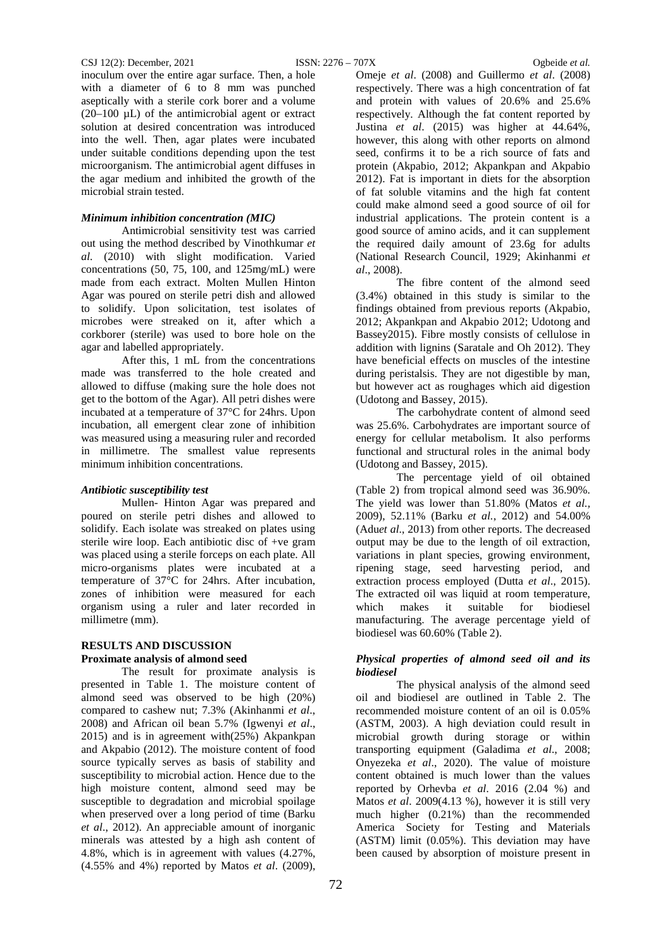inoculum over the entire agar surface. Then, a hole with a diameter of 6 to 8 mm was punched aseptically with a sterile cork borer and a volume  $(20-100 \mu L)$  of the antimicrobial agent or extract solution at desired concentration was introduced into the well. Then, agar plates were incubated under suitable conditions depending upon the test microorganism. The antimicrobial agent diffuses in the agar medium and inhibited the growth of the microbial strain tested.

#### *Minimum inhibition concentration (MIC)*

Antimicrobial sensitivity test was carried out using the method described by Vinothkumar *et al*. (2010) with slight modification. Varied concentrations (50, 75, 100, and 125mg/mL) were made from each extract. Molten Mullen Hinton Agar was poured on sterile petri dish and allowed to solidify. Upon solicitation, test isolates of microbes were streaked on it, after which a corkborer (sterile) was used to bore hole on the agar and labelled appropriately.

After this, 1 mL from the concentrations made was transferred to the hole created and allowed to diffuse (making sure the hole does not get to the bottom of the Agar). All petri dishes were incubated at a temperature of 37°C for 24hrs. Upon incubation, all emergent clear zone of inhibition was measured using a measuring ruler and recorded in millimetre. The smallest value represents minimum inhibition concentrations.

## *Antibiotic susceptibility test*

Mullen- Hinton Agar was prepared and poured on sterile petri dishes and allowed to solidify. Each isolate was streaked on plates using sterile wire loop. Each antibiotic disc of +ve gram was placed using a sterile forceps on each plate. All micro-organisms plates were incubated at a temperature of 37°C for 24hrs. After incubation, zones of inhibition were measured for each organism using a ruler and later recorded in millimetre (mm).

## **RESULTS AND DISCUSSION Proximate analysis of almond seed**

The result for proximate analysis is presented in Table 1. The moisture content of almond seed was observed to be high (20%) compared to cashew nut; 7.3% (Akinhanmi *et al*., 2008) and African oil bean 5.7% (Igwenyi *et al*., 2015) and is in agreement with(25%) Akpankpan and Akpabio (2012). The moisture content of food source typically serves as basis of stability and susceptibility to microbial action. Hence due to the high moisture content, almond seed may be susceptible to degradation and microbial spoilage when preserved over a long period of time (Barku *et al*., 2012). An appreciable amount of inorganic minerals was attested by a high ash content of 4.8%, which is in agreement with values (4.27%, (4.55% and 4%) reported by Matos *et al*. (2009),

Omeje *et al*. (2008) and Guillermo *et al*. (2008) respectively. There was a high concentration of fat and protein with values of 20.6% and 25.6% respectively. Although the fat content reported by Justina *et al*. (2015) was higher at 44.64%, however, this along with other reports on almond seed, confirms it to be a rich source of fats and protein (Akpabio, 2012; Akpankpan and Akpabio 2012). Fat is important in diets for the absorption of fat soluble vitamins and the high fat content could make almond seed a good source of oil for industrial applications. The protein content is a good source of amino acids, and it can supplement the required daily amount of 23.6g for adults (National Research Council, 1929; Akinhanmi *et al*., 2008).

The fibre content of the almond seed (3.4%) obtained in this study is similar to the findings obtained from previous reports (Akpabio, 2012; Akpankpan and Akpabio 2012; Udotong and Bassey2015). Fibre mostly consists of cellulose in addition with lignins (Saratale and Oh 2012). They have beneficial effects on muscles of the intestine during peristalsis. They are not digestible by man, but however act as roughages which aid digestion (Udotong and Bassey, 2015).

The carbohydrate content of almond seed was 25.6%. Carbohydrates are important source of energy for cellular metabolism. It also performs functional and structural roles in the animal body (Udotong and Bassey, 2015).

The percentage yield of oil obtained (Table 2) from tropical almond seed was 36.90%. The yield was lower than 51.80% (Matos *et al.,* 2009), 52.11% (Barku *et al.*, 2012) and 54.00% (Adu*et al*., 2013) from other reports. The decreased output may be due to the length of oil extraction, variations in plant species, growing environment, ripening stage, seed harvesting period, and extraction process employed (Dutta *et al*., 2015). The extracted oil was liquid at room temperature, which makes it suitable for biodiesel manufacturing. The average percentage yield of biodiesel was 60.60% (Table 2).

## *Physical properties of almond seed oil and its biodiesel*

The physical analysis of the almond seed oil and biodiesel are outlined in Table 2. The recommended moisture content of an oil is 0.05% (ASTM, 2003). A high deviation could result in microbial growth during storage or within transporting equipment (Galadima *et al*., 2008; Onyezeka *et al*., 2020). The value of moisture content obtained is much lower than the values reported by Orhevba *et al*. 2016 (2.04 %) and Matos *et al*. 2009(4.13 %), however it is still very much higher (0.21%) than the recommended America Society for Testing and Materials (ASTM) limit (0.05%). This deviation may have been caused by absorption of moisture present in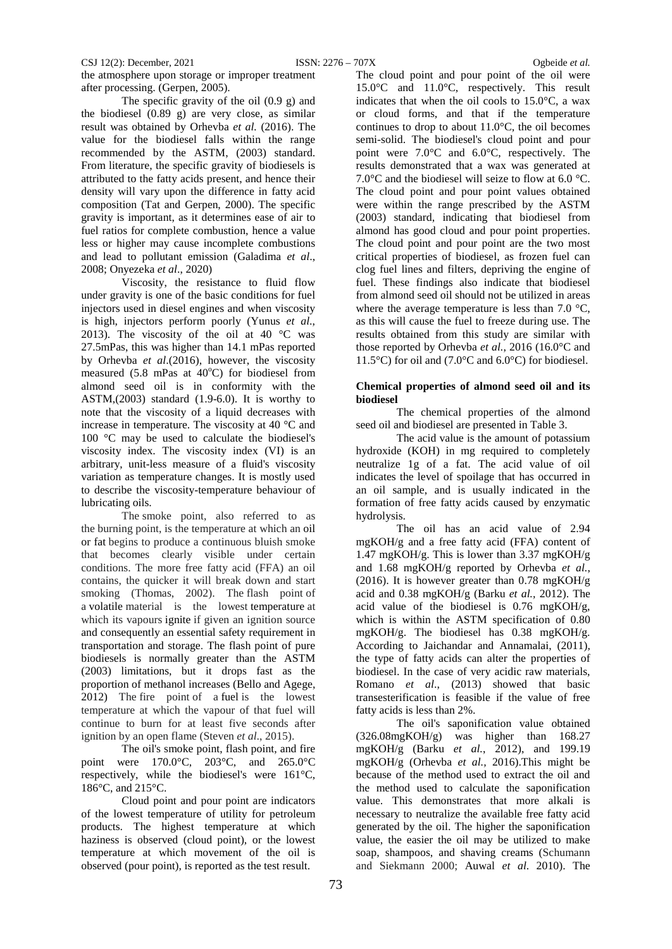#### CSJ 12(2): December, 2021 ISSN: 2276 – 707X Ogbeide *et al.*

the atmosphere upon storage or improper treatment after processing. (Gerpen, 2005).

The specific gravity of the oil (0.9 g) and the biodiesel (0.89 g) are very close, as similar result was obtained by Orhevba *et al.* (2016). The value for the biodiesel falls within the range recommended by the ASTM, (2003) standard. From literature, the specific gravity of biodiesels is attributed to the fatty acids present, and hence their density will vary upon the difference in fatty acid composition (Tat and Gerpen, 2000). The specific gravity is important, as it determines ease of air to fuel ratios for complete combustion, hence a value less or higher may cause incomplete combustions and lead to pollutant emission (Galadima *et al*., 2008; Onyezeka *et al*., 2020)

Viscosity, the resistance to fluid flow under gravity is one of the basic conditions for fuel injectors used in diesel engines and when viscosity is high, injectors perform poorly (Yunus *et al*., 2013). The viscosity of the oil at 40  $^{\circ}$ C was 27.5mPas, this was higher than 14.1 mPas reported by Orhevba *et al*.(2016), however, the viscosity measured  $(5.8 \text{ mPas at } 40^{\circ}\text{C})$  for biodiesel from almond seed oil is in conformity with the ASTM $(2003)$  standard  $(1.9-6.0)$ . It is worthy to note that the viscosity of a liquid decreases with increase in temperature. The viscosity at 40 °C and 100 °C may be used to calculate the biodiesel's viscosity index. The viscosity index (VI) is an arbitrary, unit-less measure of a fluid's viscosity variation as temperature changes. It is mostly used to describe the viscosity-temperature behaviour of lubricating oils.

The smoke point, also referred to as the burning point, is the temperature at which an oil or fat begins to produce a continuous bluish smoke that becomes clearly visible under certain conditions. The more free fatty acid (FFA) an oil contains, the quicker it will break down and start smoking (Thomas, 2002). The flash point of a volatile material is the lowest temperature at which its vapours ignite if given an ignition source and consequently an essential safety requirement in transportation and storage. The flash point of pure biodiesels is normally greater than the ASTM (2003) limitations, but it drops fast as the proportion of methanol increases (Bello and Agege, 2012) The fire point of a fuel is the lowest temperature at which the vapour of that fuel will continue to burn for at least five seconds after ignition by an open flame (Steven *et al*., 2015).

The oil's smoke point, flash point, and fire point were 170.0°C, 203°C, and 265.0°C respectively, while the biodiesel's were 161°C, 186°C, and 215°C.

Cloud point and pour point are indicators of the lowest temperature of utility for petroleum products. The highest temperature at which haziness is observed (cloud point), or the lowest temperature at which movement of the oil is observed (pour point), is reported as the test result.

The cloud point and pour point of the oil were 15.0°C and 11.0°C, respectively. This result indicates that when the oil cools to 15.0°C, a wax or cloud forms, and that if the temperature continues to drop to about 11.0°C, the oil becomes semi-solid. The biodiesel's cloud point and pour point were 7.0°C and 6.0°C, respectively. The results demonstrated that a wax was generated at 7.0 $\degree$ C and the biodiesel will seize to flow at 6.0  $\degree$ C. The cloud point and pour point values obtained were within the range prescribed by the ASTM (2003) standard, indicating that biodiesel from almond has good cloud and pour point properties. The cloud point and pour point are the two most critical properties of biodiesel, as frozen fuel can clog fuel lines and filters, depriving the engine of fuel. These findings also indicate that biodiesel from almond seed oil should not be utilized in areas where the average temperature is less than 7.0  $\degree$ C, as this will cause the fuel to freeze during use. The results obtained from this study are similar with those reported by Orhevba *et al.*, 2016 (16.0°C and 11.5°C) for oil and (7.0°C and 6.0°C) for biodiesel.

## **Chemical properties of almond seed oil and its biodiesel**

The chemical properties of the almond seed oil and biodiesel are presented in Table 3.

The acid value is the amount of potassium hydroxide (KOH) in mg required to completely neutralize 1g of a fat. The acid value of oil indicates the level of spoilage that has occurred in an oil sample, and is usually indicated in the formation of free fatty acids caused by enzymatic hydrolysis.

The oil has an acid value of 2.94 mgKOH/g and a free fatty acid (FFA) content of 1.47 mgKOH/g. This is lower than 3.37 mgKOH/g and 1.68 mgKOH/g reported by Orhevba *et al.*, (2016). It is however greater than 0.78 mgKOH/g acid and 0.38 mgKOH/g (Barku *et al.,* 2012). The acid value of the biodiesel is 0.76 mgKOH/g, which is within the ASTM specification of 0.80 mgKOH/g. The biodiesel has 0.38 mgKOH/g. According to Jaichandar and Annamalai, (2011), the type of fatty acids can alter the properties of biodiesel. In the case of very acidic raw materials, Romano *et al*., (2013) showed that basic transesterification is feasible if the value of free fatty acids is less than 2%.

The oil's saponification value obtained (326.08mgKOH/g) was higher than 168.27 mgKOH/g (Barku *et al.*, 2012), and 199.19 mgKOH/g (Orhevba *et al.,* 2016).This might be because of the method used to extract the oil and the method used to calculate the saponification value. This demonstrates that more alkali is necessary to neutralize the available free fatty acid generated by the oil. The higher the saponification value, the easier the oil may be utilized to make soap, shampoos, and shaving creams (Schumann and Siekmann 2000; Auwal *et al*. 2010). The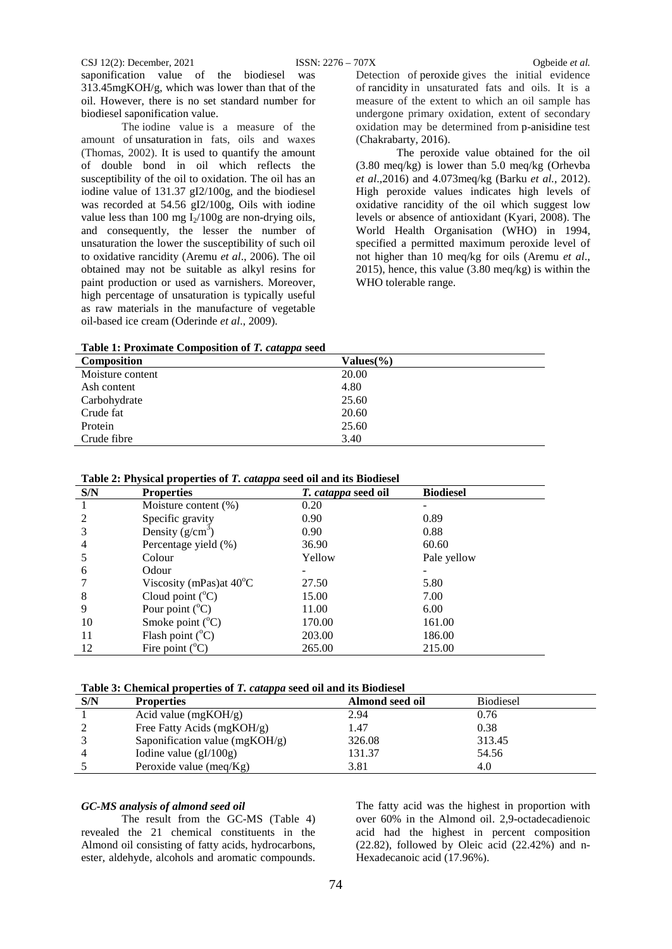CSJ 12(2): December, 2021 ISSN: 2276 – 707X Ogbeide *et al.*

saponification value of the biodiesel was 313.45mgKOH/g, which was lower than that of the oil. However, there is no set standard number for biodiesel saponification value.

The iodine value is a measure of the amount of unsaturation in fats, oils and waxes (Thomas, 2002). It is used to quantify the amount of double bond in oil which reflects the susceptibility of the oil to oxidation. The oil has an iodine value of 131.37 gI2/100g, and the biodiesel was recorded at 54.56 gI2/100g, Oils with iodine value less than 100 mg  $I_2/100g$  are non-drying oils, and consequently, the lesser the number of unsaturation the lower the susceptibility of such oil to oxidative rancidity (Aremu *et al*., 2006). The oil obtained may not be suitable as alkyl resins for paint production or used as varnishers. Moreover, high percentage of unsaturation is typically useful as raw materials in the manufacture of vegetable oil-based ice cream (Oderinde *et al*., 2009).

Detection of peroxide gives the initial evidence of rancidity in unsaturated fats and oils. It is a measure of the extent to which an oil sample has undergone primary oxidation, extent of secondary oxidation may be determined from p-anisidine test (Chakrabarty, 2016).

The peroxide value obtained for the oil (3.80 meq/kg) is lower than 5.0 meq/kg (Orhevba *et al*.,2016) and 4.073meq/kg (Barku *et al.*, 2012). High peroxide values indicates high levels of oxidative rancidity of the oil which suggest low levels or absence of antioxidant (Kyari, 2008). The World Health Organisation (WHO) in 1994, specified a permitted maximum peroxide level of not higher than 10 meq/kg for oils (Aremu *et al*., 2015), hence, this value (3.80 meq/kg) is within the WHO tolerable range.

**Table 1: Proximate Composition of** *T. catappa* **seed**

| <b>Composition</b> | Values $\frac{6}{6}$ |
|--------------------|----------------------|
| Moisture content   | 20.00                |
| Ash content        | 4.80                 |
| Carbohydrate       | 25.60                |
| Crude fat          | 20.60                |
| Protein            | 25.60                |
| Crude fibre        | 3.40                 |

| Table 2: Physical properties of T. catappa seed oil and its Biodiesel |  |  |  |  |
|-----------------------------------------------------------------------|--|--|--|--|
|-----------------------------------------------------------------------|--|--|--|--|

| S/N | <b>Properties</b>                  | <i>T. catappa</i> seed oil | <b>Biodiesel</b> |
|-----|------------------------------------|----------------------------|------------------|
|     | Moisture content (%)               | 0.20                       |                  |
|     | Specific gravity                   | 0.90                       | 0.89             |
|     | Density $(g/cm^3)$                 | 0.90                       | 0.88             |
| 4   | Percentage yield (%)               | 36.90                      | 60.60            |
| 5   | Colour                             | Yellow                     | Pale yellow      |
| 6   | Odour                              |                            |                  |
|     | Viscosity (mPas) at $40^{\circ}$ C | 27.50                      | 5.80             |
| 8   | Cloud point $(^{\circ}C)$          | 15.00                      | 7.00             |
| 9   | Pour point $(^{\circ}C)$           | 11.00                      | 6.00             |
| 10  | Smoke point $(^{\circ}C)$          | 170.00                     | 161.00           |
| 11  | Flash point $(^{\circ}C)$          | 203.00                     | 186.00           |
| 12  | Fire point $(^{\circ}C)$           | 265.00                     | 215.00           |

| S/N | . .<br><b>Properties</b>         | Almond seed oil | <b>Biodiesel</b> |
|-----|----------------------------------|-----------------|------------------|
|     | Acid value $(mgKOH/g)$           | 2.94            | 0.76             |
|     | Free Fatty Acids (mgKOH/g)       | 1.47            | 0.38             |
|     | Saponification value $(mgKOH/g)$ | 326.08          | 313.45           |
|     | Iodine value $(gI/100g)$         | 131.37          | 54.56            |
|     | Peroxide value (meq/ $Kg$ )      | 3.81            | 4.0              |

## *GC-MS analysis of almond seed oil*

The result from the GC-MS (Table 4) revealed the 21 chemical constituents in the Almond oil consisting of fatty acids, hydrocarbons, ester, aldehyde, alcohols and aromatic compounds. The fatty acid was the highest in proportion with over 60% in the Almond oil. 2,9-octadecadienoic acid had the highest in percent composition (22.82), followed by Oleic acid (22.42%) and n-Hexadecanoic acid (17.96%).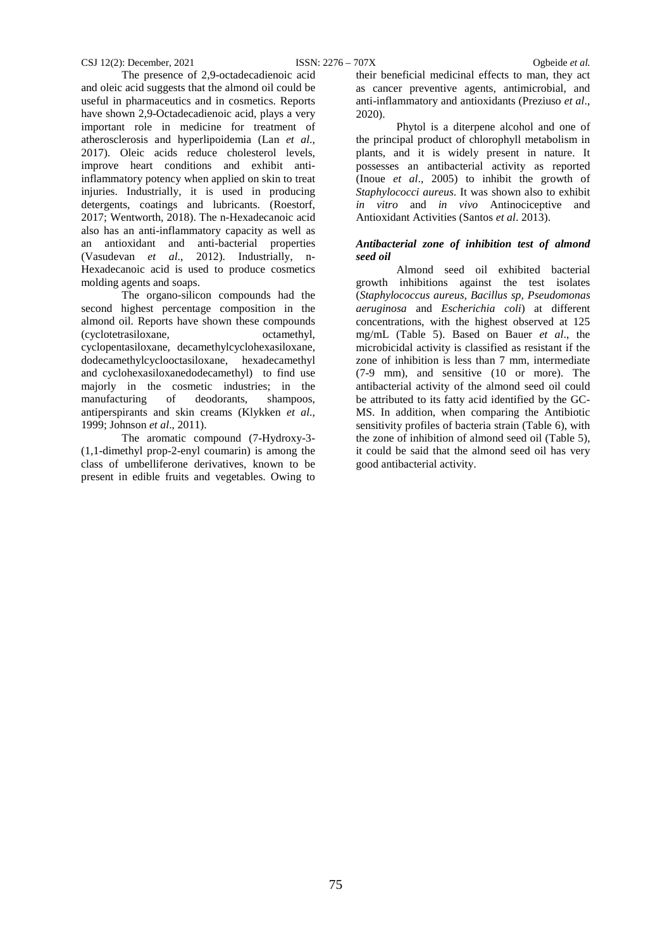The presence of 2,9-octadecadienoic acid and oleic acid suggests that the almond oil could be useful in pharmaceutics and in cosmetics. Reports have shown 2,9-Octadecadienoic acid, plays a very important role in medicine for treatment of atherosclerosis and hyperlipoidemia (Lan *et al*., 2017). Oleic acids reduce cholesterol levels, improve heart conditions and exhibit antiinflammatory potency when applied on skin to treat injuries. Industrially, it is used in producing detergents, coatings and lubricants. (Roestorf, 2017; [Wentworth,](https://www.twinriverstechnologies.com/blog/author/danielle-wentworth) 2018). The n-Hexadecanoic acid also has an anti-inflammatory capacity as well as an antioxidant and anti-bacterial properties [\(Vasudevan](https://www.researchgate.net/profile/Aparna_Vasudevan2?_sg%5B0%5D=dWL42Cvk__-oU23tTjaUG-GJaTco3o35y3uVrr95MxiPgu08YJ3w13xhNNIH4ErDSe-88oE.nmkqjyR2UFoyAHxOhWL2AKIVcHbbIa1mu9BHSDoABXijpbSFhTNK4rCwClSawznuJdn09SiHfTe-ejvZ0BhyrA.yUtJbqaSWcoLK-inhDD4jP5gO881zG2ycoAgVIrSxHGiFQ4daBk0NB9BeZAQZ0gO3WdIeTjdbuZz2MUTCePElQ&_sg%5B1%5D=V5g1AR1DjmAkmH55zElSAbKlKlg8qWb_RvVunOsvK2WwIrfbplTk9CRRPD9F1mmmU_g-H4Y.qo3Z8MidSOD18bSSJ2BbQgLK9Su--IBTzDtziLVtuG-K21_ezmM3ADFOCuWSrsdYx1qp3vneRisAEtNxYnxlmQ) *et al*., 2012). Industrially, n-Hexadecanoic acid is used to produce cosmetics molding agents and soaps.

The organo-silicon compounds had the second highest percentage composition in the almond oil. Reports have shown these compounds (cyclotetrasiloxane, octamethyl, cyclopentasiloxane, decamethylcyclohexasiloxane, dodecamethylcyclooctasiloxane, hexadecamethyl and cyclohexasiloxanedodecamethyl) to find use majorly in the cosmetic industries; in the manufacturing of deodorants, shampoos, manufacturing of deodorants, shampoos, antiperspirants and skin creams (Klykken *et al*., 1999; Johnson *et al*., 2011).

The aromatic compound (7-Hydroxy-3- (1,1-dimethyl prop-2-enyl coumarin) is among the class of umbelliferone derivatives, known to be present in edible fruits and vegetables. Owing to their beneficial medicinal effects to man, they act as cancer preventive agents, antimicrobial, and anti-inflammatory and antioxidants (Preziuso *et al*., 2020).

Phytol is a diterpene alcohol and one of the principal product of chlorophyll metabolism in plants, and it is widely present in nature. It possesses an antibacterial activity as reported (Inoue *et al*., 2005) to inhibit the growth of *Staphylococci aureus*. It was shown also to exhibit *in vitro* and *in vivo* Antinociceptive and Antioxidant Activities (Santos *et al*. 2013).

## *Antibacterial zone of inhibition test of almond seed oil*

Almond seed oil exhibited bacterial growth inhibitions against the test isolates (*Staphylococcus aureus, Bacillus sp, Pseudomonas aeruginosa* and *Escherichia coli*) at different concentrations, with the highest observed at 125 mg/mL (Table 5). Based on Bauer *et al*., the microbicidal activity is classified as resistant if the zone of inhibition is less than 7 mm, intermediate (7-9 mm), and sensitive (10 or more). The antibacterial activity of the almond seed oil could be attributed to its fatty acid identified by the GC-MS. In addition, when comparing the Antibiotic sensitivity profiles of bacteria strain (Table 6), with the zone of inhibition of almond seed oil (Table 5), it could be said that the almond seed oil has very good antibacterial activity.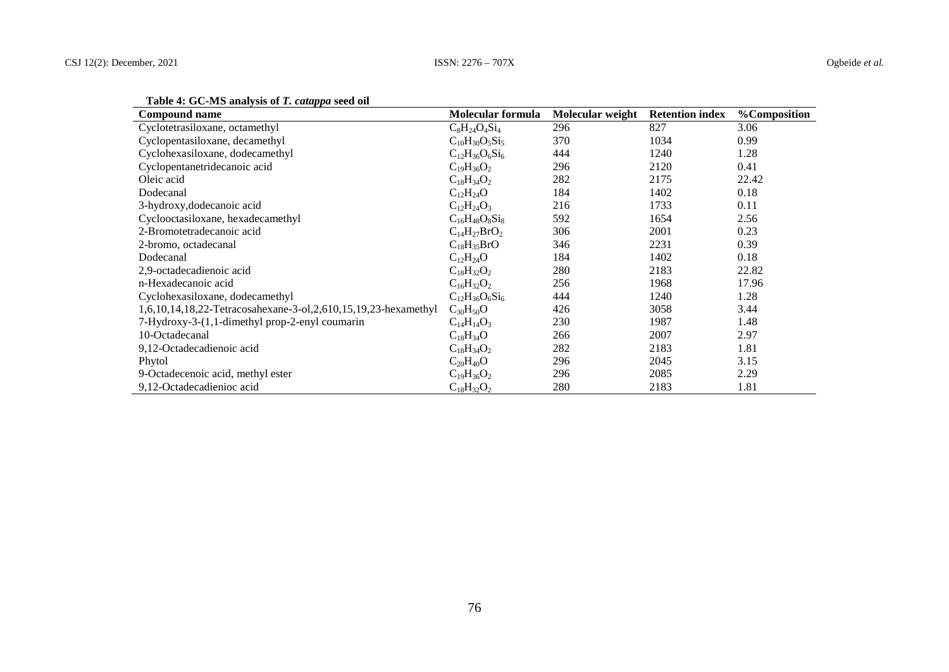| $\frac{1}{2}$<br>Compound name                                 | <b>Molecular formula</b> | Molecular weight | <b>Retention index</b> | <b>%Composition</b> |
|----------------------------------------------------------------|--------------------------|------------------|------------------------|---------------------|
| Cyclotetrasiloxane, octamethyl                                 | $C_8H_{24}O_4Si_4$       | 296              | 827                    | 3.06                |
| Cyclopentasiloxane, decamethyl                                 | $C_{10}H_{30}O_5Si_5$    | 370              | 1034                   | 0.99                |
| Cyclohexasiloxane, dodecamethyl                                | $C_{12}H_{36}O_6Si_6$    | 444              | 1240                   | 1.28                |
| Cyclopentanetridecanoic acid                                   | $C_{19}H_{36}O_2$        | 296              | 2120                   | 0.41                |
| Oleic acid                                                     | $C_{18}H_{34}O_2$        | 282              | 2175                   | 22.42               |
| Dodecanal                                                      | $C_{12}H_{24}O$          | 184              | 1402                   | 0.18                |
| 3-hydroxy, dodecanoic acid                                     | $C_{12}H_{24}O_3$        | 216              | 1733                   | 0.11                |
| Cyclooctasiloxane, hexadecamethyl                              | $C_{16}H_{48}O_8Si_8$    | 592              | 1654                   | 2.56                |
| 2-Bromotetradecanoic acid                                      | $C_{14}H_{27}BrO_2$      | 306              | 2001                   | 0.23                |
| 2-bromo, octadecanal                                           | $C_{18}H_{35}BrO$        | 346              | 2231                   | 0.39                |
| Dodecanal                                                      | $C_{12}H_{24}O$          | 184              | 1402                   | 0.18                |
| 2,9-octadecadienoic acid                                       | $C_{18}H_{32}O_2$        | 280              | 2183                   | 22.82               |
| n-Hexadecanoic acid                                            | $C_{16}H_{32}O_2$        | 256              | 1968                   | 17.96               |
| Cyclohexasiloxane, dodecamethyl                                | $C_{12}H_{36}O_6Si_6$    | 444              | 1240                   | 1.28                |
| 1,6,10,14,18,22-Tetracosahexane-3-ol,2,610,15,19,23-hexamethyl | $C_{30}H_{50}O$          | 426              | 3058                   | 3.44                |
| 7-Hydroxy-3-(1,1-dimethyl prop-2-enyl coumarin                 | $C_{14}H_{14}O_3$        | 230              | 1987                   | 1.48                |
| 10-Octadecanal                                                 | $C_{18}H_{34}O$          | 266              | 2007                   | 2.97                |
| 9,12-Octadecadienoic acid                                      | $C_{18}H_{34}O_2$        | 282              | 2183                   | 1.81                |
| Phytol                                                         | $C_{20}H_{40}O$          | 296              | 2045                   | 3.15                |
| 9-Octadecenoic acid, methyl ester                              | $C_{19}H_{36}O_2$        | 296              | 2085                   | 2.29                |
| 9,12-Octadecadienioc acid                                      | $C_{18}H_{32}O_2$        | 280              | 2183                   | 1.81                |

# **Table 4: GC-MS analysis of** *T. catappa* **seed oil**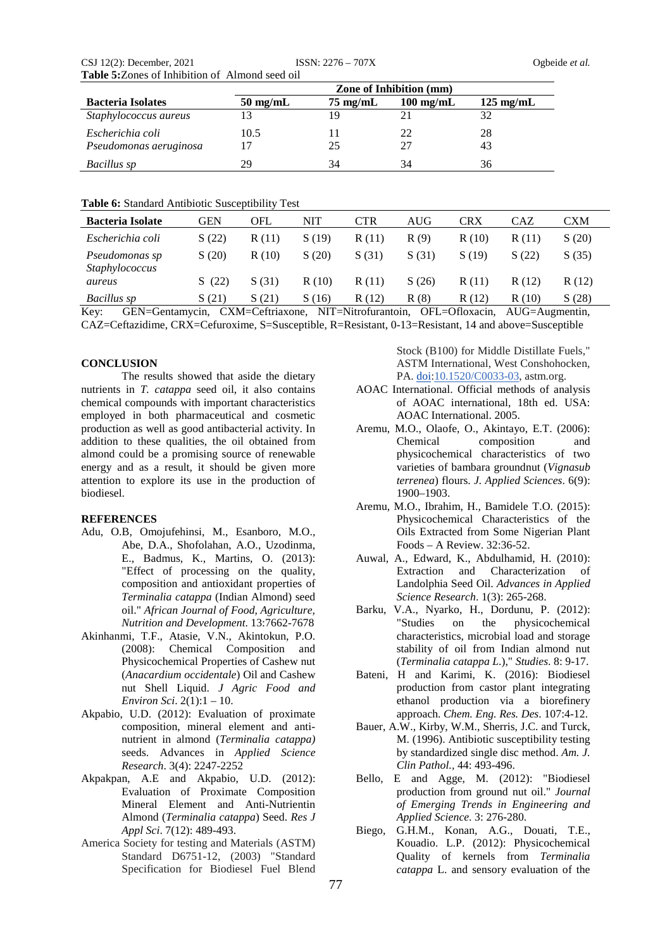| CSJ $12(2)$ : December, $2021$                         | $ISSN: 2276 - 707X$ |
|--------------------------------------------------------|---------------------|
| <b>Table 5:</b> Zones of Inhibition of Almond seed oil |                     |

|                          | <b>Zone of Inhibition (mm)</b>                                                         |    |    |    |  |  |  |  |
|--------------------------|----------------------------------------------------------------------------------------|----|----|----|--|--|--|--|
| <b>Bacteria Isolates</b> | $50 \text{ mg/mL}$<br>$125 \text{ mg/mL}$<br>$75 \text{ mg/mL}$<br>$100 \text{ mg/mL}$ |    |    |    |  |  |  |  |
| Staphylococcus aureus    |                                                                                        | 19 |    |    |  |  |  |  |
| Escherichia coli         | 10.5                                                                                   |    | 22 | 28 |  |  |  |  |
| Pseudomonas aeruginosa   |                                                                                        | 25 | 27 | 43 |  |  |  |  |
| Bacillus sp              | 29                                                                                     | 34 | 34 | 36 |  |  |  |  |

### **Table 6:** Standard Antibiotic Susceptibility Test

| <b>Bacteria Isolate</b>          | GEN   | <b>OFL</b> | NIT   | CTR   | AUG   | CRX   | CAZ         | CXM   |
|----------------------------------|-------|------------|-------|-------|-------|-------|-------------|-------|
| Escherichia coli                 | S(22) | R(11)      | S(19) | R(11) | R(9)  | R(10) | R(11)       | S(20) |
| Pseudomonas sp<br>Staphylococcus | S(20) | R(10)      | S(20) | S(31) | S(31) | S(19) | S(22)       | S(35) |
| aureus                           | (22)  | S(31)      | R(10) | R(11) | S(26) | R(11) | R(12)       | R(12) |
| Bacillus sp                      | S(21) | S(21)      | S(16) | R(12) | R(8)  | R(12) | (10)<br>R ( | S(28) |

Key: GEN=Gentamycin, CXM=Ceftriaxone, NIT=Nitrofurantoin, OFL=Ofloxacin, AUG=Augmentin, CAZ=Ceftazidime, CRX=Cefuroxime, S=Susceptible, R=Resistant, 0-13=Resistant, 14 and above=Susceptible

## **CONCLUSION**

The results showed that aside the dietary nutrients in *T. catappa* seed oil, it also contains chemical compounds with important characteristics employed in both pharmaceutical and cosmetic production as well as good antibacterial activity. In addition to these qualities, the oil obtained from almond could be a promising source of renewable energy and as a result, it should be given more attention to explore its use in the production of biodiesel.

#### **REFERENCES**

- Adu, O.B, Omojufehinsi, M., Esanboro, M.O., Abe, D.A., Shofolahan, A.O., Uzodinma, E., Badmus, K., Martins, O. (2013): "Effect of processing on the quality, composition and antioxidant properties of *Terminalia catappa* (Indian Almond) seed oil." *African Journal of Food, Agriculture, Nutrition and Development*. 13:7662-7678
- Akinhanmi, T.F., Atasie, V.N., Akintokun, P.O. (2008): Chemical Composition and Physicochemical Properties of Cashew nut (*Anacardium occidentale*) Oil and Cashew nut Shell Liquid. *J Agric Food and Environ Sci*. 2(1):1 – 10.
- Akpabio, U.D. (2012): Evaluation of proximate composition, mineral element and antinutrient in almond (*Terminalia catappa)*  seeds. Advances in *Applied Science Research*. 3(4): 2247-2252
- Akpakpan, A.E and Akpabio, U.D. (2012): Evaluation of Proximate Composition Mineral Element and Anti-Nutrientin Almond (*Terminalia catappa*) Seed. *Res J Appl Sci*. 7(12): 489-493.
- America Society for testing and Materials (ASTM) Standard D6751-12, (2003) "Standard Specification for Biodiesel Fuel Blend

Stock (B100) for Middle Distillate Fuels," ASTM International, West Conshohocken, PA. [doi:](https://en.wikipedia.org/wiki/Doi_(identifier))[10.1520/C0033-03,](https://doi.org/10.1520%2FC0033-03) astm.org.

- AOAC International. Official methods of analysis of AOAC international, 18th ed. USA: AOAC International. 2005.
- Aremu, M.O., Olaofe, O., Akintayo, E.T. (2006): Chemical composition and physicochemical characteristics of two varieties of bambara groundnut (*Vignasub terrenea*) flours. *J. Applied Sciences*. 6(9): 1900–1903.
- Aremu, M.O., Ibrahim, H., Bamidele T.O. (2015): Physicochemical Characteristics of the Oils Extracted from Some Nigerian Plant Foods – A Review. 32:36-52.
- Auwal, A., Edward, K., Abdulhamid, H. (2010): Extraction and Characterization of Landolphia Seed Oil. *Advances in Applied Science Research*. 1(3): 265-268.
- Barku, V.A., Nyarko, H., Dordunu, P. (2012): "Studies on the physicochemical characteristics, microbial load and storage stability of oil from Indian almond nut (*Terminalia catappa L*.)," *Studies*. 8: 9-17.
- Bateni, H and Karimi, K. (2016): Biodiesel production from castor plant integrating ethanol production via a biorefinery approach. *Chem. Eng. Res. Des*. 107:4-12.
- Bauer, A.W., Kirby, W.M., Sherris, J.C. and Turck, M. (1996). Antibiotic susceptibility testing by standardized single disc method. *Am. J. Clin Pathol.,* 44: 493-496.
- Bello, E and Agge, M. (2012): "Biodiesel production from ground nut oil." *Journal of Emerging Trends in Engineering and Applied Science*. 3: 276-280.
- Biego, G.H.M., Konan, A.G., Douati, T.E., Kouadio. L.P. (2012): Physicochemical Quality of kernels from *Terminalia catappa* L. and sensory evaluation of the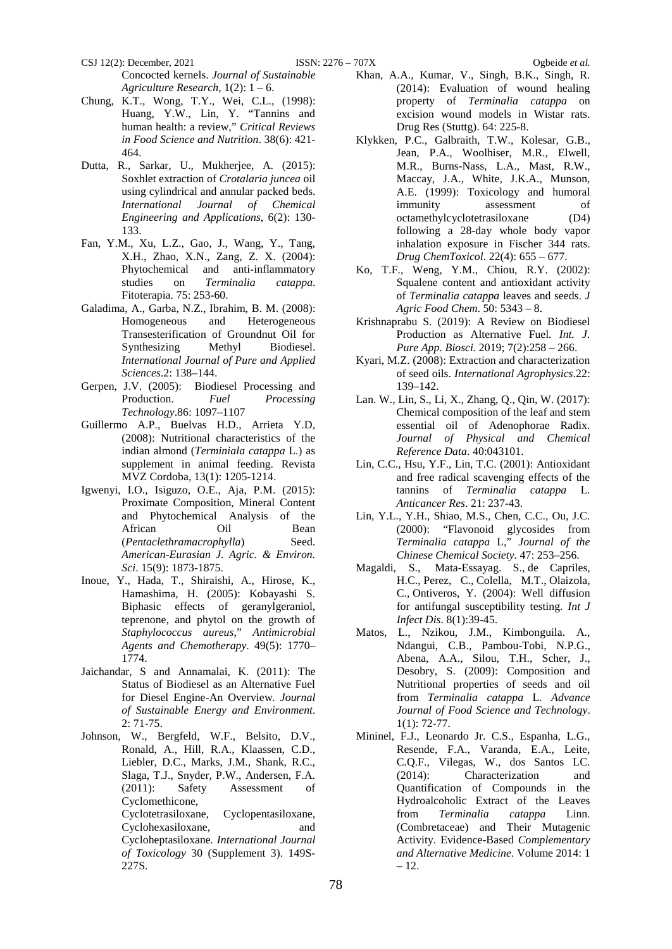CSJ 12(2): December, 2021 ISSN: 2276 – 707X Ogbeide *et al.* Concocted kernels. *Journal of Sustainable*  Agriculture Research,  $1(2)$ :  $1-6$ .

- Chung, K.T., Wong, T.Y., Wei, C.L., (1998): Huang, Y.W., Lin, Y. "Tannins and human health: a review," *Critical Reviews in Food Science and Nutrition*. 38(6): 421- 464.
- Dutta, R., Sarkar, U., Mukherjee, A. (2015): Soxhlet extraction of *Crotalaria juncea* oil using cylindrical and annular packed beds. *International Journal of Chemical Engineering and Applications,* 6(2): 130- 133.
- Fan, Y.M., Xu, L.Z., Gao, J., Wang, Y., Tang, X.H., Zhao, X.N., Zang, Z. X. (2004): Phytochemical and anti-inflammatory studies on *Terminalia catappa*. Fitoterapia. 75: 253‑60.
- Galadima, A., Garba, N.Z., Ibrahim, B. M. (2008): Homogeneous and Heterogeneous Transesterification of Groundnut Oil for Synthesizing Methyl Biodiesel. *International Journal of Pure and Applied Sciences*.2: 138–144.
- Gerpen, J.V. (2005): Biodiesel Processing and Production. *Fuel Processing Technology*.86: 1097–1107
- Guillermo A.P., Buelvas H.D., Arrieta Y.D, (2008): Nutritional characteristics of the indian almond (*Terminiala catappa* L.) as supplement in animal feeding. Revista MVZ Cordoba, 13(1): 1205-1214.
- Igwenyi, I.O., Isiguzo, O.E., Aja, P.M. (2015): Proximate Composition, Mineral Content and Phytochemical Analysis of the African Oil Bean (*Pentaclethramacrophylla*) Seed. *American-Eurasian J. Agric. & Environ. Sci*. 15(9): 1873-1875.
- Inoue, Y., Hada, T., Shiraishi, A., Hirose, K., Hamashima, H. (2005): Kobayashi S. Biphasic effects of geranylgeraniol, teprenone, and phytol on the growth of *Staphylococcus aureus*," *Antimicrobial Agents and Chemotherapy*. 49(5): 1770– 1774.
- Jaichandar, S and Annamalai, K. (2011): The Status of Biodiesel as an Alternative Fuel for Diesel Engine-An Overview. *Journal of Sustainable Energy and Environment*. 2: 71-75.
- Johnson, W., Bergfeld, W.F., Belsito, D.V., Ronald, A., Hill, R.A., Klaassen, C.D., Liebler, D.C., Marks, J.M., Shank, R.C., Slaga, T.J., Snyder, P.W., Andersen, F.A. (2011): Safety Assessment of Cyclomethicone,

Cyclotetrasiloxane, Cyclopentasiloxane, Cyclohexasiloxane, and Cycloheptasiloxane. *International Journal of Toxicology* 30 (Supplement 3). 149S-227S.

Khan, A.A., Kumar, V., Singh, B.K., Singh, R. (2014): Evaluation of wound healing property of *Terminalia catappa* on excision wound models in Wistar rats. Drug Res (Stuttg). 64: 225‑8.

- Klykken, P.C., Galbraith, T.W., Kolesar, G.B., Jean, P.A., Woolhiser, M.R., Elwell, M.R., Burns-Nass, L.A., Mast, R.W., Maccay, J.A., White, J.K.A., Munson, A.E. (1999): Toxicology and humoral immunity assessment of octamethylcyclotetrasiloxane (D4) following a 28-day whole body vapor inhalation exposure in Fischer 344 rats. *Drug ChemToxicol*. 22(4): 655 – 677.
- Ko, T.F., Weng, Y.M., Chiou, R.Y. (2002): Squalene content and antioxidant activity of *Terminalia catappa* leaves and seeds. *J Agric Food Chem*. 50: 5343 – 8.
- Krishnaprabu S. (2019): A Review on Biodiesel Production as Alternative Fuel*. Int. J. Pure App. Biosci.* 2019; 7(2):258 – 266.
- Kyari, M.Z. (2008): Extraction and characterization of seed oils. *International Agrophysics*.22: 139–142.
- Lan. W., Lin, S., Li, X., Zhang, Q., Qin, W. (2017): Chemical composition of the leaf and stem essential oil of Adenophorae Radix. *Journal of Physical and Chemical Reference Data*. 40:043101.
- Lin, C.C., Hsu, Y.F., Lin, T.C. (2001): Antioxidant and free radical scavenging effects of the tannins of *Terminalia catappa* L. *Anticancer Res*. 21: 237‑43.
- Lin, Y.L., Y.H., Shiao, M.S., Chen, C.C., Ou, J.C. (2000): "Flavonoid glycosides from *Terminalia catappa* L," *Journal of the Chinese Chemical Society*. 47: 253–256.
- [Magaldi,](https://pubmed.ncbi.nlm.nih.gov/?term=Magaldi+S&cauthor_id=14690779) S., [Mata-Essayag.](https://pubmed.ncbi.nlm.nih.gov/?term=Mata-Essayag+S&cauthor_id=14690779) S., [de Capriles,](https://pubmed.ncbi.nlm.nih.gov/?term=Hartung+de+Capriles+C&cauthor_id=14690779) H.C., [Perez,](https://pubmed.ncbi.nlm.nih.gov/?term=Perez+C&cauthor_id=14690779) C., [Colella,](https://pubmed.ncbi.nlm.nih.gov/?term=Colella+MT&cauthor_id=14690779) M.T., [Olaizola,](https://pubmed.ncbi.nlm.nih.gov/?term=Olaizola+C&cauthor_id=14690779) C., [Ontiveros,](https://pubmed.ncbi.nlm.nih.gov/?term=Ontiveros+Y&cauthor_id=14690779) Y. (2004): Well diffusion for antifungal susceptibility testing. *Int J Infect Dis*. 8(1):39-45.
- Matos, L., Nzikou, J.M., Kimbonguila. A., Ndangui, C.B., Pambou-Tobi, N.P.G., Abena, A.A., Silou, T.H., Scher, J., Desobry, S. (2009): Composition and Nutritional properties of seeds and oil from *Terminalia catappa* L. *Advance Journal of Food Science and Technology*. 1(1): 72-77.
- Mininel, F.J., Leonardo Jr. C.S., Espanha, L.G., Resende, F.A., Varanda, E.A., Leite, C.Q.F., Vilegas, W., dos Santos LC. (2014): Characterization and Quantification of Compounds in the Hydroalcoholic Extract of the Leaves from *Terminalia catappa* Linn. (Combretaceae) and Their Mutagenic Activity. Evidence-Based *Complementary and Alternative Medicine*. Volume 2014: 1 – 12.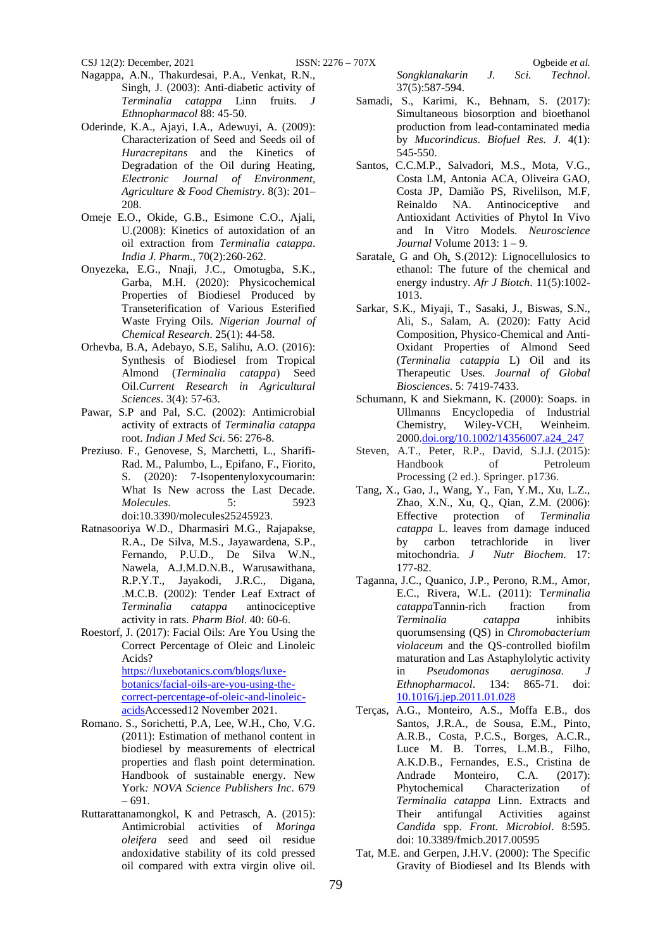- Nagappa, A.N., Thakurdesai, P.A., Venkat, R.N., Singh, J. (2003): Anti-diabetic activity of *Terminalia catappa* Linn fruits. *J Ethnopharmacol* 88: 45‑50.
- Oderinde, K.A., Ajayi, I.A., Adewuyi, A. (2009): Characterization of Seed and Seeds oil of *Huracrepitans* and the Kinetics of Degradation of the Oil during Heating, *Electronic Journal of Environment, Agriculture & Food Chemistry*. 8(3): 201– 208.
- Omeje E.O., Okide, G.B., Esimone C.O., Ajali, U.(2008): Kinetics of autoxidation of an oil extraction from *Terminalia catappa*. *India J. Pharm*., 70(2):260-262.
- Onyezeka, E.G., Nnaji, J.C., Omotugba, S.K., Garba, M.H. (2020): Physicochemical Properties of Biodiesel Produced by Transeterification of Various Esterified Waste Frying Oils. *Nigerian Journal of Chemical Research*. 25(1): 44-58.
- Orhevba, B.A, Adebayo, S.E, Salihu, A.O. (2016): Synthesis of Biodiesel from Tropical Almond (*Terminalia catappa*) Seed Oil.*Current Research in Agricultural Sciences*. 3(4): 57-63.
- Pawar, S.P and Pal, S.C. (2002): Antimicrobial activity of extracts of *Terminalia catappa* root. *Indian J Med Sci*. 56: 276‑8.
- Preziuso. F., Genovese, S, Marchetti, L., Sharifi-Rad. M., Palumbo, L., Epifano, F., Fiorito, S. (2020): 7-Isopentenyloxycoumarin: What Is New across the Last Decade. *Molecules*. 5: 5923 doi:10.3390/molecules25245923.
- Ratnasooriya W.D., Dharmasiri M.G., Rajapakse, R.A., De Silva, M.S., Jayawardena, S.P., Fernando, P.U.D., De Silva W.N., Nawela, A.J.M.D.N.B., Warusawithana, R.P.Y.T., Jayakodi, J.R.C., Digana, .M.C.B. (2002): Tender Leaf Extract of *Terminalia catappa* antinociceptive activity in rats. *Pharm Biol*. 40: 60‑6.
- Roestorf, J. (2017): Facial Oils: Are You Using the Correct Percentage of Oleic and Linoleic Acids?

[https://luxebotanics.com/blogs/luxe](https://luxebotanics.com/blogs/luxe-botanics/facial-oils-are-you-using-the-correct-percentage-of-oleic-and-linoleic-acids)[botanics/facial-oils-are-you-using-the](https://luxebotanics.com/blogs/luxe-botanics/facial-oils-are-you-using-the-correct-percentage-of-oleic-and-linoleic-acids)[correct-percentage-of-oleic-and-linoleic](https://luxebotanics.com/blogs/luxe-botanics/facial-oils-are-you-using-the-correct-percentage-of-oleic-and-linoleic-acids)[acidsA](https://luxebotanics.com/blogs/luxe-botanics/facial-oils-are-you-using-the-correct-percentage-of-oleic-and-linoleic-acids)ccessed12 November 2021.

- Romano. S., Sorichetti, P.A, Lee, W.H., Cho, V.G. (2011): Estimation of methanol content in biodiesel by measurements of electrical properties and flash point determination. Handbook of sustainable energy. New York*: NOVA Science Publishers Inc*. 679 – 691.
- Ruttarattanamongkol, K and Petrasch, A. (2015): Antimicrobial activities of *Moringa oleifera* seed and seed oil residue andoxidative stability of its cold pressed oil compared with extra virgin olive oil.

*Songklanakarin J. Sci. Technol*. 37(5):587-594.

- Samadi, S., Karimi, K., Behnam, S. (2017): Simultaneous biosorption and bioethanol production from lead-contaminated media by *Mucorindicus*. *Biofuel Res. J.* 4(1): 545-550.
- Santos, C.C.M.P., Salvadori, M.S., Mota, V.G., Costa LM, Antonia ACA, Oliveira GAO, Costa JP, Damião PS, Rivelilson, M.F, Reinaldo NA. Antinociceptive and Antioxidant Activities of Phytol In Vivo and In Vitro Models. *Neuroscience Journal* Volume 2013: 1 – 9.
- [Saratale,](https://www.semanticscholar.org/author/G.-Saratale/4067339) G and [Oh,](https://www.semanticscholar.org/author/Sangeun-Oh/145125635) S.(2012): Lignocellulosics to ethanol: The future of the chemical and energy industry. *Afr J Biotch*. 11(5):1002- 1013.
- Sarkar, S.K., Miyaji, T., Sasaki, J., Biswas, S.N., Ali, S., Salam, A. (2020): Fatty Acid Composition, Physico-Chemical and Anti-Oxidant Properties of Almond Seed (*Terminalia catappia* L) Oil and its Therapeutic Uses. *Journal of Global Biosciences*. 5: 7419-7433.
- Schumann, K and Siekmann, K. (2000): Soaps. in Ullmanns Encyclopedia of Industrial<br>Chemistry, Wiley-VCH, Weinheim. Wiley-VCH, 2000[.doi.org/10.1002/14356007.a24\\_247](https://doi.org/10.1002/14356007.a24_247)
- Steven, A.T., Peter, R.P., David, S.J.J. (2015):<br>Handbook of Petroleum Handbook of Processing (2 ed.). Springer. p1736.
- Tang, X., Gao, J., Wang, Y., Fan, Y.M., Xu, L.Z., Zhao, X.N., Xu, Q., Qian, Z.M. (2006): Effective protection of *Terminalia catappa* L. leaves from damage induced by carbon tetrachloride in liver<br>mitochondria. J Nutr Biochem. 17: mitochondria. *J Nutr Biochem*. 17: 177‑82.
- Taganna, J.C., Quanico, J.P., Perono, R.M., Amor, E.C., Rivera, W.L. (2011): T*erminalia catappa*Tannin-rich fraction from *Terminalia catappa* inhibits quorumsensing (QS) in *Chromobacterium violaceum* and the QS‑controlled biofilm maturation and Las Astaphylolytic activity in *Pseudomonas aeruginosa. J Ethnopharmacol*. 134: 865‑71. doi: [10.1016/j.jep.2011.01.028](https://doi.org/10.1016/j.jep.2011.01.028)
- Terças, A.G., Monteiro, A.S., Moffa E.B., dos Santos, J.R.A., de Sousa, E.M., Pinto, A.R.B., Costa, P.C.S., Borges, A.C.R., Luce M. B. Torres, L.M.B., Filho, A.K.D.B., Fernandes, E.S., Cristina de Andrade Monteiro, C.A. (2017): Phytochemical Characterization of *Terminalia catappa* Linn. Extracts and Their antifungal Activities against *Candida* spp. *Front. Microbiol*. 8:595. doi: 10.3389/fmicb.2017.00595
- Tat, M.E. and Gerpen, J.H.V. (2000): The Specific Gravity of Biodiesel and Its Blends with